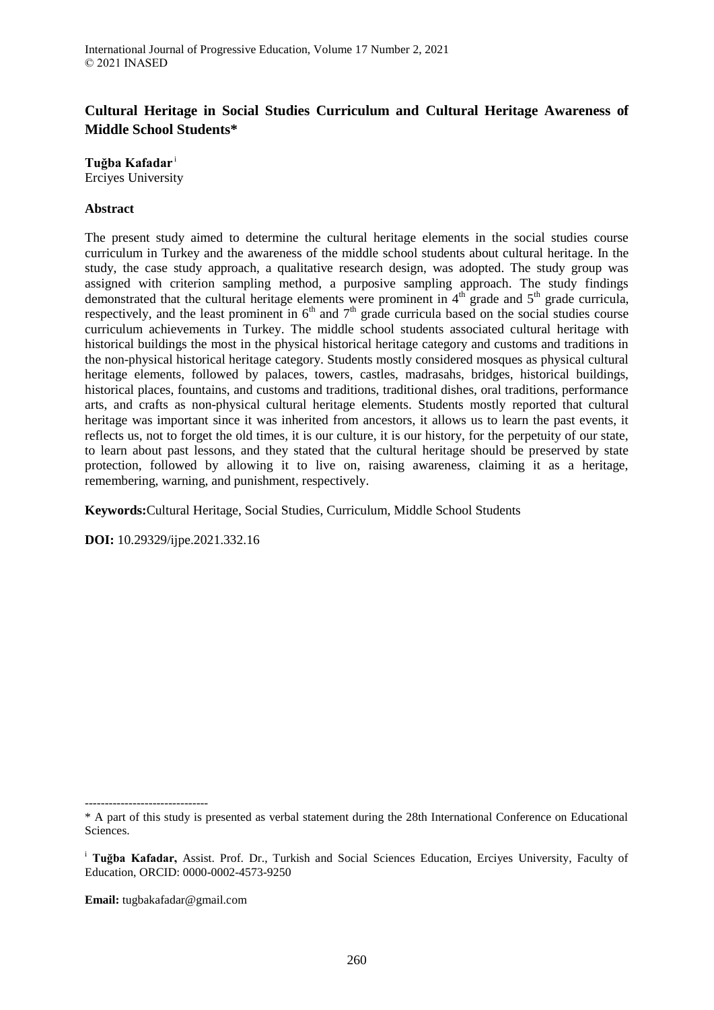# **Cultural Heritage in Social Studies Curriculum and Cultural Heritage Awareness of Middle School Students\***

**Tuğba Kafadar** <sup>i</sup> Erciyes University

### **Abstract**

The present study aimed to determine the cultural heritage elements in the social studies course curriculum in Turkey and the awareness of the middle school students about cultural heritage. In the study, the case study approach, a qualitative research design, was adopted. The study group was assigned with criterion sampling method, a purposive sampling approach. The study findings demonstrated that the cultural heritage elements were prominent in  $4<sup>th</sup>$  grade and  $5<sup>th</sup>$  grade curricula, respectively, and the least prominent in  $6<sup>th</sup>$  and  $7<sup>th</sup>$  grade curricula based on the social studies course curriculum achievements in Turkey. The middle school students associated cultural heritage with historical buildings the most in the physical historical heritage category and customs and traditions in the non-physical historical heritage category. Students mostly considered mosques as physical cultural heritage elements, followed by palaces, towers, castles, madrasahs, bridges, historical buildings, historical places, fountains, and customs and traditions, traditional dishes, oral traditions, performance arts, and crafts as non-physical cultural heritage elements. Students mostly reported that cultural heritage was important since it was inherited from ancestors, it allows us to learn the past events, it reflects us, not to forget the old times, it is our culture, it is our history, for the perpetuity of our state, to learn about past lessons, and they stated that the cultural heritage should be preserved by state protection, followed by allowing it to live on, raising awareness, claiming it as a heritage, remembering, warning, and punishment, respectively.

**Keywords:**Cultural Heritage, Social Studies, Curriculum, Middle School Students

**DOI:** 10.29329/ijpe.2021.332.16

**Email:** tugbakafadar@gmail.com

<sup>-------------------------------</sup>

<sup>\*</sup> A part of this study is presented as verbal statement during the 28th International Conference on Educational Sciences.

<sup>i</sup> **Tuğba Kafadar,** Assist. Prof. Dr., Turkish and Social Sciences Education, Erciyes University, Faculty of Education, ORCID: 0000-0002-4573-9250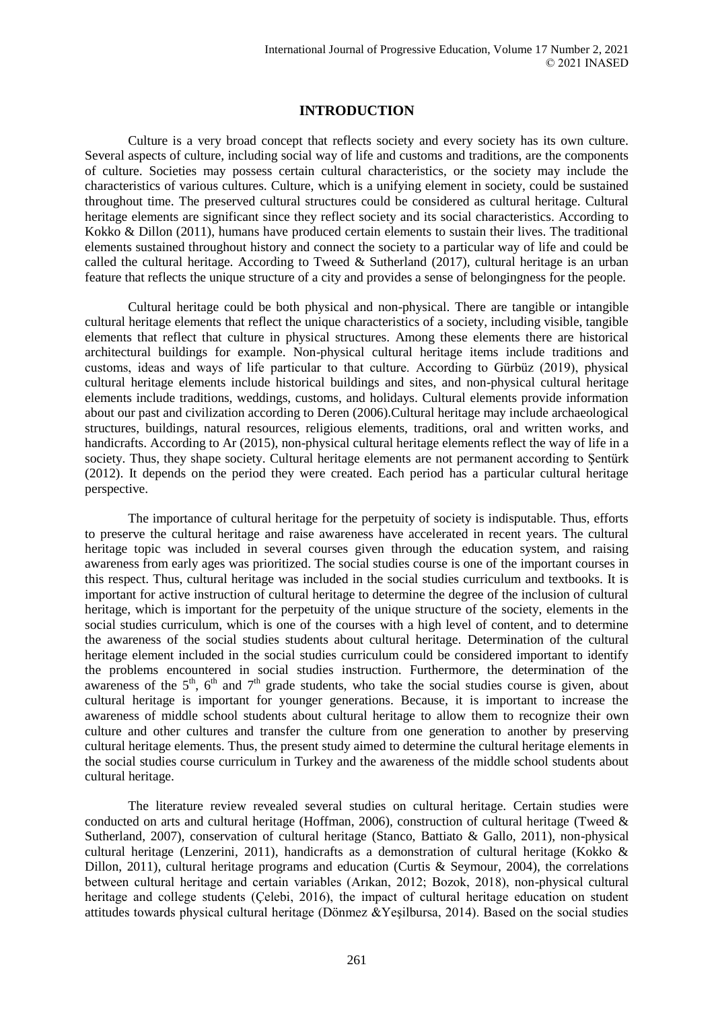# **INTRODUCTION**

Culture is a very broad concept that reflects society and every society has its own culture. Several aspects of culture, including social way of life and customs and traditions, are the components of culture. Societies may possess certain cultural characteristics, or the society may include the characteristics of various cultures. Culture, which is a unifying element in society, could be sustained throughout time. The preserved cultural structures could be considered as cultural heritage. Cultural heritage elements are significant since they reflect society and its social characteristics. According to Kokko & Dillon (2011), humans have produced certain elements to sustain their lives. The traditional elements sustained throughout history and connect the society to a particular way of life and could be called the cultural heritage. According to Tweed & Sutherland (2017), cultural heritage is an urban feature that reflects the unique structure of a city and provides a sense of belongingness for the people.

Cultural heritage could be both physical and non-physical. There are tangible or intangible cultural heritage elements that reflect the unique characteristics of a society, including visible, tangible elements that reflect that culture in physical structures. Among these elements there are historical architectural buildings for example. Non-physical cultural heritage items include traditions and customs, ideas and ways of life particular to that culture. According to Gürbüz (2019), physical cultural heritage elements include historical buildings and sites, and non-physical cultural heritage elements include traditions, weddings, customs, and holidays. Cultural elements provide information about our past and civilization according to Deren (2006).Cultural heritage may include archaeological structures, buildings, natural resources, religious elements, traditions, oral and written works, and handicrafts. According to Ar (2015), non-physical cultural heritage elements reflect the way of life in a society. Thus, they shape society. Cultural heritage elements are not permanent according to Sentürk (2012). It depends on the period they were created. Each period has a particular cultural heritage perspective.

The importance of cultural heritage for the perpetuity of society is indisputable. Thus, efforts to preserve the cultural heritage and raise awareness have accelerated in recent years. The cultural heritage topic was included in several courses given through the education system, and raising awareness from early ages was prioritized. The social studies course is one of the important courses in this respect. Thus, cultural heritage was included in the social studies curriculum and textbooks. It is important for active instruction of cultural heritage to determine the degree of the inclusion of cultural heritage, which is important for the perpetuity of the unique structure of the society, elements in the social studies curriculum, which is one of the courses with a high level of content, and to determine the awareness of the social studies students about cultural heritage. Determination of the cultural heritage element included in the social studies curriculum could be considered important to identify the problems encountered in social studies instruction. Furthermore, the determination of the awareness of the  $5<sup>th</sup>$ ,  $6<sup>th</sup>$  and  $7<sup>th</sup>$  grade students, who take the social studies course is given, about cultural heritage is important for younger generations. Because, it is important to increase the awareness of middle school students about cultural heritage to allow them to recognize their own culture and other cultures and transfer the culture from one generation to another by preserving cultural heritage elements. Thus, the present study aimed to determine the cultural heritage elements in the social studies course curriculum in Turkey and the awareness of the middle school students about cultural heritage.

The literature review revealed several studies on cultural heritage. Certain studies were conducted on arts and cultural heritage (Hoffman, 2006), construction of cultural heritage (Tweed & Sutherland, 2007), conservation of cultural heritage (Stanco, Battiato & Gallo, 2011), non-physical cultural heritage (Lenzerini, 2011), handicrafts as a demonstration of cultural heritage (Kokko & Dillon, 2011), cultural heritage programs and education (Curtis & Seymour, 2004), the correlations between cultural heritage and certain variables (Arıkan, 2012; Bozok, 2018), non-physical cultural heritage and college students (Çelebi, 2016), the impact of cultural heritage education on student attitudes towards physical cultural heritage (Dönmez &Yeşilbursa, 2014). Based on the social studies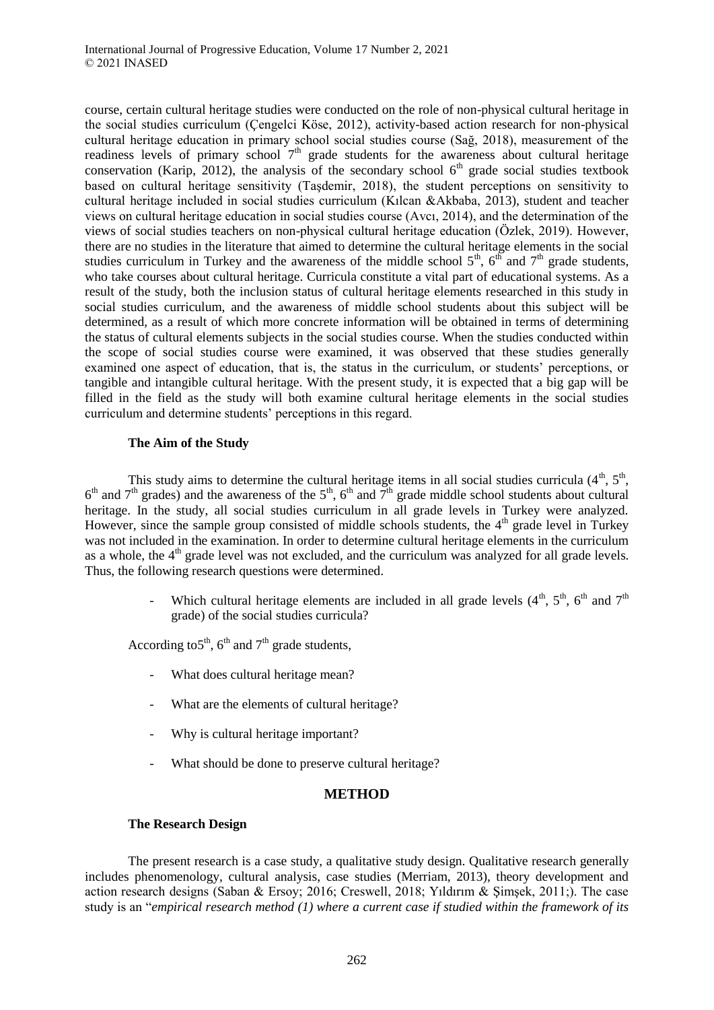course, certain cultural heritage studies were conducted on the role of non-physical cultural heritage in the social studies curriculum (Çengelci Köse, 2012), activity-based action research for non-physical cultural heritage education in primary school social studies course (Sağ, 2018), measurement of the readiness levels of primary school  $7<sup>th</sup>$  grade students for the awareness about cultural heritage conservation (Karip, 2012), the analysis of the secondary school  $6<sup>th</sup>$  grade social studies textbook based on cultural heritage sensitivity (Taşdemir, 2018), the student perceptions on sensitivity to cultural heritage included in social studies curriculum (Kılcan &Akbaba, 2013), student and teacher views on cultural heritage education in social studies course (Avcı, 2014), and the determination of the views of social studies teachers on non-physical cultural heritage education (Özlek, 2019). However, there are no studies in the literature that aimed to determine the cultural heritage elements in the social studies curriculum in Turkey and the awareness of the middle school  $5<sup>th</sup>$ ,  $6<sup>th</sup>$  and  $7<sup>th</sup>$  grade students, who take courses about cultural heritage. Curricula constitute a vital part of educational systems. As a result of the study, both the inclusion status of cultural heritage elements researched in this study in social studies curriculum, and the awareness of middle school students about this subject will be determined, as a result of which more concrete information will be obtained in terms of determining the status of cultural elements subjects in the social studies course. When the studies conducted within the scope of social studies course were examined, it was observed that these studies generally examined one aspect of education, that is, the status in the curriculum, or students' perceptions, or tangible and intangible cultural heritage. With the present study, it is expected that a big gap will be filled in the field as the study will both examine cultural heritage elements in the social studies curriculum and determine students' perceptions in this regard.

### **The Aim of the Study**

This study aims to determine the cultural heritage items in all social studies curricula  $(4<sup>th</sup>, 5<sup>th</sup>),$  $6<sup>th</sup>$  and  $7<sup>th</sup>$  grades) and the awareness of the  $5<sup>th</sup>$ ,  $6<sup>th</sup>$  and  $7<sup>th</sup>$  grade middle school students about cultural heritage. In the study, all social studies curriculum in all grade levels in Turkey were analyzed. However, since the sample group consisted of middle schools students, the  $4<sup>th</sup>$  grade level in Turkey was not included in the examination. In order to determine cultural heritage elements in the curriculum as a whole, the  $4<sup>th</sup>$  grade level was not excluded, and the curriculum was analyzed for all grade levels. Thus, the following research questions were determined.

> - Which cultural heritage elements are included in all grade levels  $(4<sup>th</sup>, 5<sup>th</sup>, 6<sup>th</sup>$  and  $7<sup>th</sup>$ grade) of the social studies curricula?

According to 5<sup>th</sup>, 6<sup>th</sup> and 7<sup>th</sup> grade students,

- What does cultural heritage mean?
- What are the elements of cultural heritage?
- Why is cultural heritage important?
- What should be done to preserve cultural heritage?

### **METHOD**

#### **The Research Design**

The present research is a case study, a qualitative study design. Qualitative research generally includes phenomenology, cultural analysis, case studies (Merriam, 2013), theory development and action research designs (Saban & Ersoy; 2016; Creswell, 2018; Yıldırım & Şimşek, 2011;). The case study is an "*empirical research method (1) where a current case if studied within the framework of its*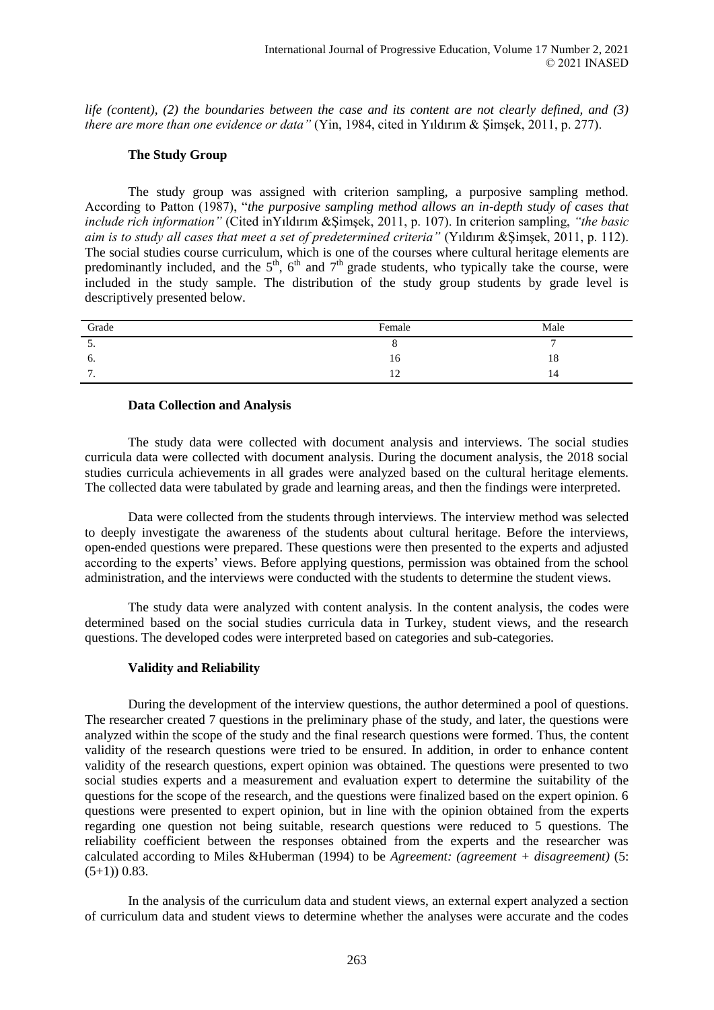*life (content), (2) the boundaries between the case and its content are not clearly defined, and (3) there are more than one evidence or data"* (Yin, 1984, cited in Yıldırım & Şimşek, 2011, p. 277).

#### **The Study Group**

The study group was assigned with criterion sampling, a purposive sampling method. According to Patton (1987), "*the purposive sampling method allows an in-depth study of cases that include rich information"* (Cited inYıldırım &Şimşek, 2011, p. 107). In criterion sampling, *"the basic aim is to study all cases that meet a set of predetermined criteria"* (Yıldırım &Şimşek, 2011, p. 112). The social studies course curriculum, which is one of the courses where cultural heritage elements are predominantly included, and the  $5<sup>th</sup>$ ,  $6<sup>th</sup>$  and  $7<sup>th</sup>$  grade students, who typically take the course, were included in the study sample. The distribution of the study group students by grade level is descriptively presented below.

| Grade    | Female         | Male |
|----------|----------------|------|
| <u>.</u> |                |      |
| O.       | 10             | 18   |
| -<br>. . | $\overline{ }$ | 14   |

#### **Data Collection and Analysis**

The study data were collected with document analysis and interviews. The social studies curricula data were collected with document analysis. During the document analysis, the 2018 social studies curricula achievements in all grades were analyzed based on the cultural heritage elements. The collected data were tabulated by grade and learning areas, and then the findings were interpreted.

Data were collected from the students through interviews. The interview method was selected to deeply investigate the awareness of the students about cultural heritage. Before the interviews, open-ended questions were prepared. These questions were then presented to the experts and adjusted according to the experts' views. Before applying questions, permission was obtained from the school administration, and the interviews were conducted with the students to determine the student views.

The study data were analyzed with content analysis. In the content analysis, the codes were determined based on the social studies curricula data in Turkey, student views, and the research questions. The developed codes were interpreted based on categories and sub-categories.

#### **Validity and Reliability**

During the development of the interview questions, the author determined a pool of questions. The researcher created 7 questions in the preliminary phase of the study, and later, the questions were analyzed within the scope of the study and the final research questions were formed. Thus, the content validity of the research questions were tried to be ensured. In addition, in order to enhance content validity of the research questions, expert opinion was obtained. The questions were presented to two social studies experts and a measurement and evaluation expert to determine the suitability of the questions for the scope of the research, and the questions were finalized based on the expert opinion. 6 questions were presented to expert opinion, but in line with the opinion obtained from the experts regarding one question not being suitable, research questions were reduced to 5 questions. The reliability coefficient between the responses obtained from the experts and the researcher was calculated according to Miles &Huberman (1994) to be *Agreement: (agreement + disagreement)* (5:  $(5+1)$ ) 0.83.

In the analysis of the curriculum data and student views, an external expert analyzed a section of curriculum data and student views to determine whether the analyses were accurate and the codes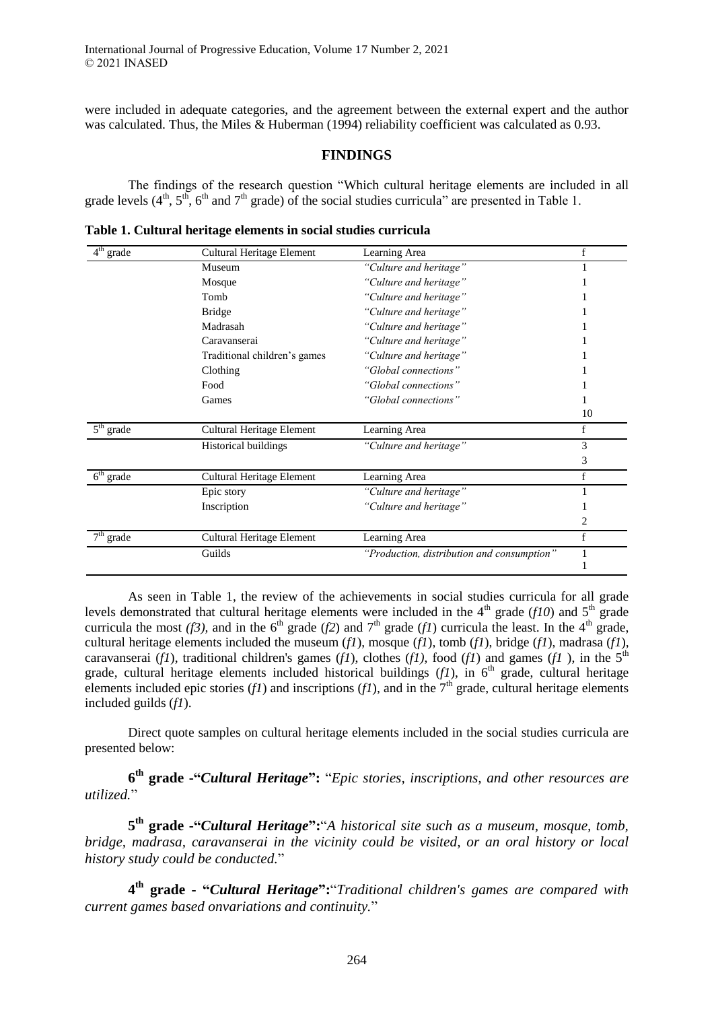were included in adequate categories, and the agreement between the external expert and the author was calculated. Thus, the Miles & Huberman (1994) reliability coefficient was calculated as 0.93.

# **FINDINGS**

The findings of the research question "Which cultural heritage elements are included in all grade levels  $(4^{\text{th}}, 5^{\text{th}}, 6^{\text{th}})$  and  $7^{\text{th}}$  grade) of the social studies curricula" are presented in Table 1.

| $4^{\text{th}}$<br>grade | Cultural Heritage Element        | Learning Area                              | f           |
|--------------------------|----------------------------------|--------------------------------------------|-------------|
|                          | Museum                           | "Culture and heritage"                     |             |
|                          | Mosque                           | "Culture and heritage"                     |             |
|                          | Tomb                             | "Culture and heritage"                     |             |
|                          | <b>Bridge</b>                    | "Culture and heritage"                     |             |
|                          | Madrasah                         | "Culture and heritage"                     |             |
|                          | Caravanserai                     | "Culture and heritage"                     |             |
|                          | Traditional children's games     | "Culture and heritage"                     |             |
|                          | Clothing                         | "Global connections"                       |             |
|                          | Food                             | "Global connections"                       |             |
|                          | Games                            | "Global connections"                       |             |
|                          |                                  |                                            | 10          |
| $5th$ grade              | <b>Cultural Heritage Element</b> | Learning Area                              | $\mathbf f$ |
|                          | Historical buildings             | "Culture and heritage"                     | 3           |
|                          |                                  |                                            | 3           |
| $6th$ grade              | Cultural Heritage Element        | Learning Area                              | f           |
|                          | Epic story                       | "Culture and heritage"                     |             |
|                          | Inscription                      | "Culture and heritage"                     |             |
|                          |                                  |                                            | 2           |
| $7th$ grade              | Cultural Heritage Element        | Learning Area                              | $\mathbf f$ |
|                          | Guilds                           | "Production, distribution and consumption" |             |
|                          |                                  |                                            |             |

**Table 1. Cultural heritage elements in social studies curricula**

As seen in Table 1, the review of the achievements in social studies curricula for all grade levels demonstrated that cultural heritage elements were included in the  $4<sup>th</sup>$  grade (*f10*) and  $5<sup>th</sup>$  grade curricula the most (*f3*), and in the 6<sup>th</sup> grade (*f2*) and 7<sup>th</sup> grade (*f1*) curricula the least. In the 4<sup>th</sup> grade, cultural heritage elements included the museum (*f1*), mosque (*f1*), tomb (*f1*), bridge (*f1*), madrasa (*f1*), caravanserai (*f1*), traditional children's games (*f1*), clothes (*f1*), food (*f1*) and games (*f1*), in the 5<sup>th</sup> grade, cultural heritage elements included historical buildings  $(f1)$ , in  $6<sup>th</sup>$  grade, cultural heritage elements included epic stories  $(f1)$  and inscriptions  $(f1)$ , and in the  $7<sup>th</sup>$  grade, cultural heritage elements included guilds (*f1*).

Direct quote samples on cultural heritage elements included in the social studies curricula are presented below:

**6 th grade -"***Cultural Heritage***":** "*Epic stories, inscriptions, and other resources are utilized.*"

**5 th grade -"***Cultural Heritage***":**"*A historical site such as a museum, mosque, tomb, bridge, madrasa, caravanserai in the vicinity could be visited, or an oral history or local history study could be conducted.*"

**4 th grade - "***Cultural Heritage***":**"*Traditional children's games are compared with current games based onvariations and continuity.*"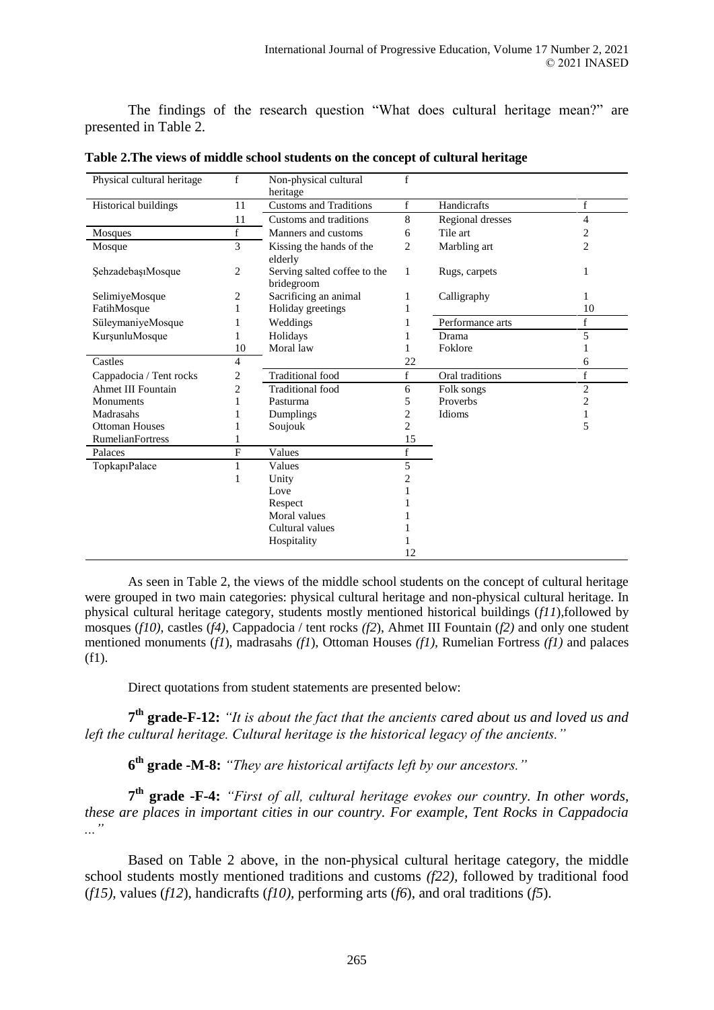The findings of the research question "What does cultural heritage mean?" are presented in Table 2.

| Physical cultural heritage | $f_{\rm}$      | Non-physical cultural                      | f              |                  |                         |
|----------------------------|----------------|--------------------------------------------|----------------|------------------|-------------------------|
|                            |                | heritage                                   |                |                  |                         |
| Historical buildings       | 11             | <b>Customs and Traditions</b>              | $\mathbf f$    | Handicrafts      | f                       |
|                            | 11             | Customs and traditions                     | 8              | Regional dresses | $\overline{4}$          |
| Mosques                    | $f_{\rm}$      | Manners and customs                        | 6              | Tile art         | 2                       |
| Mosque                     | 3              | Kissing the hands of the<br>elderly        | 2              | Marbling art     | $\overline{c}$          |
| SehzadebaşıMosque          | 2              | Serving salted coffee to the<br>bridegroom | $\mathbf{1}$   | Rugs, carpets    | 1                       |
| SelimiyeMosque             | 2              | Sacrificing an animal                      | 1              | Calligraphy      |                         |
| FatihMosque                |                | Holiday greetings                          |                |                  | 10                      |
| SüleymaniyeMosque          |                | Weddings                                   |                | Performance arts | f                       |
| KurşunluMosque             |                | Holidays                                   |                | Drama            | 5                       |
|                            | 10             | Moral law                                  |                | Foklore          |                         |
| Castles                    | 4              |                                            | 22             |                  | 6                       |
| Cappadocia / Tent rocks    | $\overline{c}$ | <b>Traditional</b> food                    | f              | Oral traditions  | $\mathbf f$             |
| Ahmet III Fountain         | $\overline{c}$ | <b>Traditional</b> food                    | 6              | Folk songs       | $\overline{2}$          |
| Monuments                  |                | Pasturma                                   | 5              | Proverbs         | $\overline{\mathbf{c}}$ |
| Madrasahs                  |                | Dumplings                                  | 2              | Idioms           | 1                       |
| <b>Ottoman Houses</b>      |                | Soujouk                                    | 2              |                  | 5                       |
| <b>RumelianFortress</b>    |                |                                            | 15             |                  |                         |
| Palaces                    | F              | Values                                     | $\mathbf f$    |                  |                         |
| Topkap1Palace              |                | Values                                     | 5              |                  |                         |
|                            |                | Unity                                      | $\overline{c}$ |                  |                         |
|                            |                | Love                                       |                |                  |                         |
|                            |                | Respect                                    |                |                  |                         |
|                            |                | Moral values                               |                |                  |                         |
|                            |                | Cultural values                            |                |                  |                         |
|                            |                | Hospitality                                |                |                  |                         |
|                            |                |                                            | 12             |                  |                         |

**Table 2.The views of middle school students on the concept of cultural heritage**

As seen in Table 2, the views of the middle school students on the concept of cultural heritage were grouped in two main categories: physical cultural heritage and non-physical cultural heritage. In physical cultural heritage category, students mostly mentioned historical buildings (*f11*),followed by mosques (*f10)*, castles (*f4)*, Cappadocia / tent rocks *(f2*), Ahmet III Fountain (*f2)* and only one student mentioned monuments (*f1*), madrasahs *(f1*), Ottoman Houses *(f1),* Rumelian Fortress *(f1)* and palaces (f1).

Direct quotations from student statements are presented below:

**7 th grade-F-12:** *"It is about the fact that the ancients cared about us and loved us and left the cultural heritage. Cultural heritage is the historical legacy of the ancients."*

**6 th grade -M-8:** *"They are historical artifacts left by our ancestors."*

**7 th grade -F-4:** *"First of all, cultural heritage evokes our country. In other words, these are places in important cities in our country. For example, Tent Rocks in Cappadocia ..."*

Based on Table 2 above, in the non-physical cultural heritage category, the middle school students mostly mentioned traditions and customs *(f22),* followed by traditional food (*f15)*, values (*f12*), handicrafts (*f10)*, performing arts (*f6*), and oral traditions (*f5*).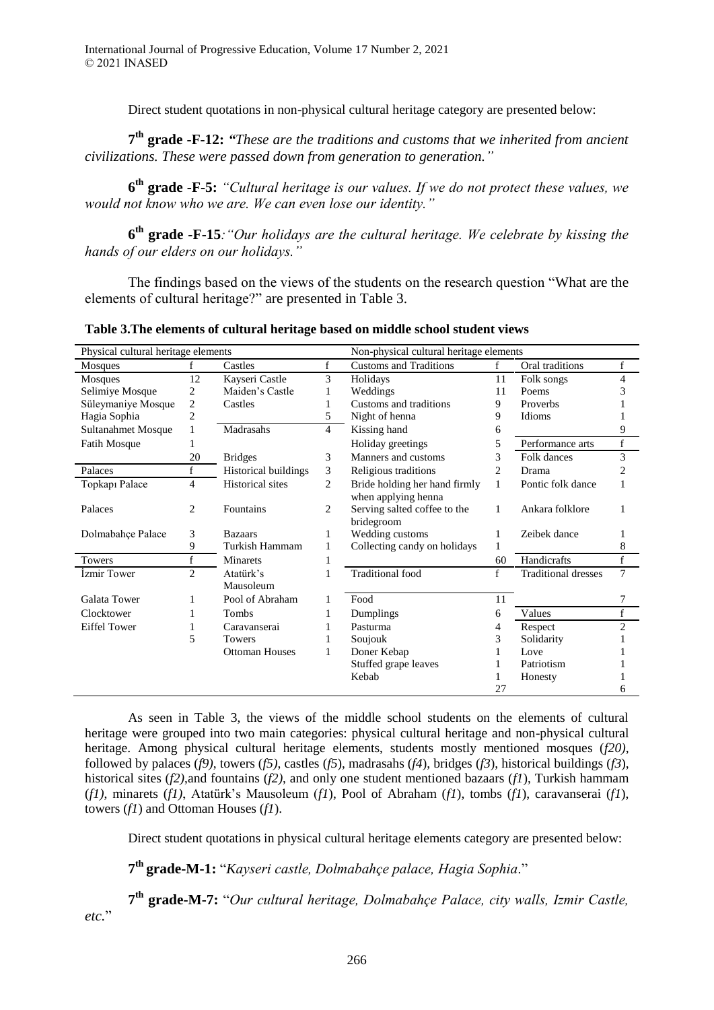Direct student quotations in non-physical cultural heritage category are presented below:

**7 th grade -F-12:** *"These are the traditions and customs that we inherited from ancient civilizations. These were passed down from generation to generation."*

**6 th grade -F-5:** *"Cultural heritage is our values. If we do not protect these values, we would not know who we are. We can even lose our identity."*

**6 th grade -F-15***:"Our holidays are the cultural heritage. We celebrate by kissing the hands of our elders on our holidays."*

The findings based on the views of the students on the research question "What are the elements of cultural heritage?" are presented in Table 3.

|                                     |                          |                         |                                         | rabic of the ciclifents of cultural licritage based on hinduic school student views |    |                            |                |
|-------------------------------------|--------------------------|-------------------------|-----------------------------------------|-------------------------------------------------------------------------------------|----|----------------------------|----------------|
| Physical cultural heritage elements |                          |                         | Non-physical cultural heritage elements |                                                                                     |    |                            |                |
| Mosques                             | f                        | Castles                 | $\mathbf{f}$                            | <b>Customs and Traditions</b>                                                       | f  | Oral traditions            | f              |
| Mosques                             | 12                       | Kayseri Castle          | 3                                       | Holidays                                                                            | 11 | Folk songs                 | 4              |
| Selimiye Mosque                     | 2                        | Maiden's Castle         |                                         | Weddings                                                                            | 11 | Poems                      | 3              |
| Süleymaniye Mosque                  | 2                        | Castles                 |                                         | Customs and traditions                                                              | 9  | Proverbs                   |                |
| Hagia Sophia                        | 2                        |                         | 5                                       | Night of henna                                                                      | 9  | Idioms                     |                |
| Sultanahmet Mosque                  |                          | Madrasahs               | 4                                       | Kissing hand                                                                        | 6  |                            | 9              |
| Fatih Mosque                        |                          |                         |                                         | Holiday greetings                                                                   | 5  | Performance arts           | f              |
|                                     | 20                       | <b>Bridges</b>          | 3                                       | Manners and customs                                                                 | 3  | Folk dances                | 3              |
| Palaces                             | $\mathbf f$              | Historical buildings    | 3                                       | Religious traditions                                                                | 2  | Drama                      | $\overline{c}$ |
| Topkapı Palace                      | $\overline{\mathcal{L}}$ | <b>Historical</b> sites | $\overline{c}$                          | Bride holding her hand firmly                                                       | 1  | Pontic folk dance          |                |
|                                     |                          |                         |                                         | when applying henna                                                                 |    |                            |                |
| Palaces                             | 2                        | Fountains               | $\overline{c}$                          | Serving salted coffee to the                                                        | 1  | Ankara folklore            |                |
|                                     |                          |                         |                                         | bridegroom                                                                          |    |                            |                |
| Dolmabahçe Palace                   | 3                        | <b>Bazaars</b>          | 1                                       | Wedding customs                                                                     | 1  | Zeibek dance               |                |
|                                     | 9                        | Turkish Hammam          |                                         | Collecting candy on holidays                                                        | 1  |                            | 8              |
| <b>Towers</b>                       | f                        | <b>Minarets</b>         | 1                                       |                                                                                     | 60 | Handicrafts                | f              |
| İzmir Tower                         | $\overline{2}$           | Atatürk's               |                                         | <b>Traditional</b> food                                                             | f  | <b>Traditional dresses</b> | 7              |
|                                     |                          | Mausoleum               |                                         |                                                                                     |    |                            |                |
| <b>Galata Tower</b>                 |                          | Pool of Abraham         |                                         | Food                                                                                | 11 |                            | 7              |
| Clocktower                          |                          | <b>Tombs</b>            |                                         | Dumplings                                                                           | 6  | Values                     | f              |
| <b>Eiffel Tower</b>                 |                          | Caravanserai            |                                         | Pasturma                                                                            | 4  | Respect                    | $\overline{c}$ |
|                                     | 5                        | <b>Towers</b>           |                                         | Soujouk                                                                             | 3  | Solidarity                 |                |
|                                     |                          | <b>Ottoman Houses</b>   |                                         | Doner Kebap                                                                         |    | Love                       |                |
|                                     |                          |                         |                                         | Stuffed grape leaves                                                                |    | Patriotism                 |                |
|                                     |                          |                         |                                         | Kebab                                                                               |    | Honesty                    |                |
|                                     |                          |                         |                                         |                                                                                     | 27 |                            | 6              |

**Table 3.The elements of cultural heritage based on middle school student views**

As seen in Table 3, the views of the middle school students on the elements of cultural heritage were grouped into two main categories: physical cultural heritage and non-physical cultural heritage. Among physical cultural heritage elements, students mostly mentioned mosques (*f20)*, followed by palaces (*f9)*, towers (*f5)*, castles (*f5*), madrasahs (*f4*), bridges (*f3*), historical buildings (*f3*), historical sites (*f2)*,and fountains (*f2)*, and only one student mentioned bazaars (*f1*), Turkish hammam (*f1)*, minarets (*f1)*, Atatürk's Mausoleum (*f1*), Pool of Abraham (*f1*), tombs (*f1*), caravanserai (*f1*), towers (*f1*) and Ottoman Houses (*f1*).

Direct student quotations in physical cultural heritage elements category are presented below:

**7 th grade-M-1:** "*Kayseri castle, Dolmabahçe palace, Hagia Sophia*."

**7 th grade-M-7:** "*Our cultural heritage, Dolmabahçe Palace, city walls, Izmir Castle, etc.*"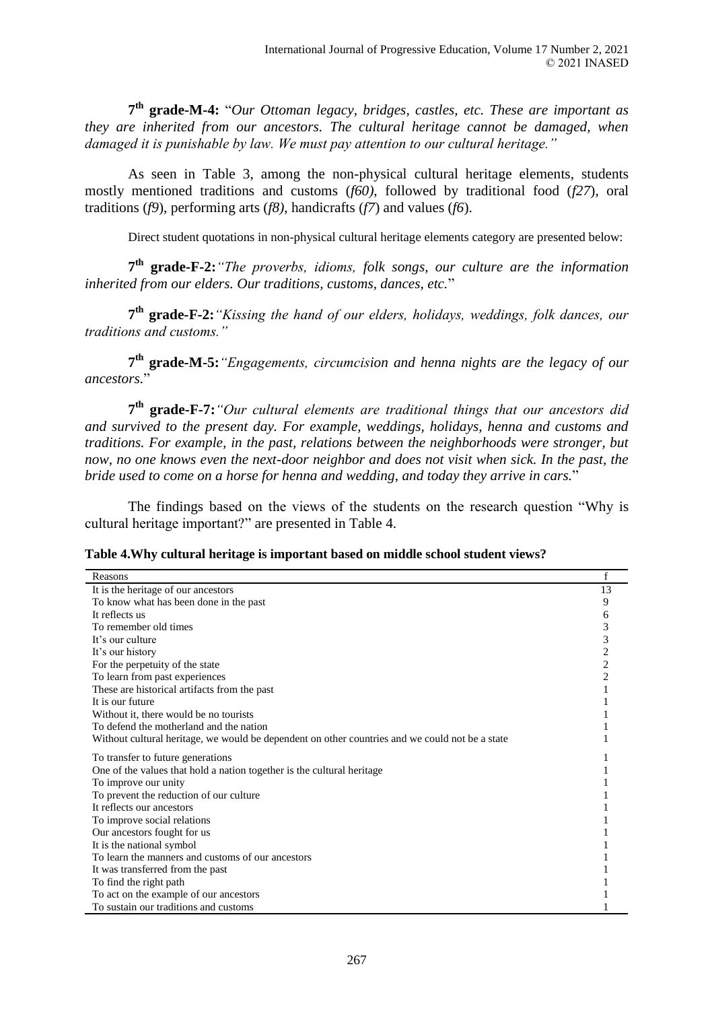**7 th grade-M-4:** "*Our Ottoman legacy, bridges, castles, etc. These are important as they are inherited from our ancestors. The cultural heritage cannot be damaged, when damaged it is punishable by law. We must pay attention to our cultural heritage."*

As seen in Table 3, among the non-physical cultural heritage elements, students mostly mentioned traditions and customs (*f60)*, followed by traditional food (*f27*), oral traditions (*f9*), performing arts (*f8)*, handicrafts (*f7*) and values (*f6*).

Direct student quotations in non-physical cultural heritage elements category are presented below:

**7 th grade-F-2:***"The proverbs, idioms, folk songs, our culture are the information inherited from our elders. Our traditions, customs, dances, etc.*"

**7 th grade-F-2:***"Kissing the hand of our elders, holidays, weddings, folk dances, our traditions and customs."*

**7 th grade-M-5:***"Engagements, circumcision and henna nights are the legacy of our ancestors.*"

**7 th grade-F-7:***"Our cultural elements are traditional things that our ancestors did and survived to the present day. For example, weddings, holidays, henna and customs and traditions. For example, in the past, relations between the neighborhoods were stronger, but*  now, no one knows even the next-door neighbor and does not visit when sick. In the past, the *bride used to come on a horse for henna and wedding, and today they arrive in cars.*"

The findings based on the views of the students on the research question "Why is cultural heritage important?" are presented in Table 4.

|  |  |  | Table 4. Why cultural heritage is important based on middle school student views? |
|--|--|--|-----------------------------------------------------------------------------------|
|--|--|--|-----------------------------------------------------------------------------------|

| Reasons                                                                                         | f              |
|-------------------------------------------------------------------------------------------------|----------------|
| It is the heritage of our ancestors                                                             | 13             |
| To know what has been done in the past                                                          | 9              |
| It reflects us                                                                                  | 6              |
| To remember old times                                                                           | 3              |
| It's our culture                                                                                | 3              |
| It's our history                                                                                | 2              |
| For the perpetuity of the state                                                                 | $\overline{c}$ |
| To learn from past experiences                                                                  | $\overline{2}$ |
| These are historical artifacts from the past                                                    |                |
| It is our future                                                                                |                |
| Without it, there would be no tourists                                                          |                |
| To defend the motherland and the nation                                                         |                |
| Without cultural heritage, we would be dependent on other countries and we could not be a state |                |
| To transfer to future generations                                                               |                |
| One of the values that hold a nation together is the cultural heritage                          |                |
| To improve our unity                                                                            |                |
| To prevent the reduction of our culture                                                         |                |
| It reflects our ancestors                                                                       |                |
| To improve social relations                                                                     |                |
| Our ancestors fought for us                                                                     |                |
| It is the national symbol                                                                       |                |
| To learn the manners and customs of our ancestors                                               |                |
| It was transferred from the past                                                                |                |
| To find the right path                                                                          |                |
| To act on the example of our ancestors                                                          |                |
| To sustain our traditions and customs                                                           |                |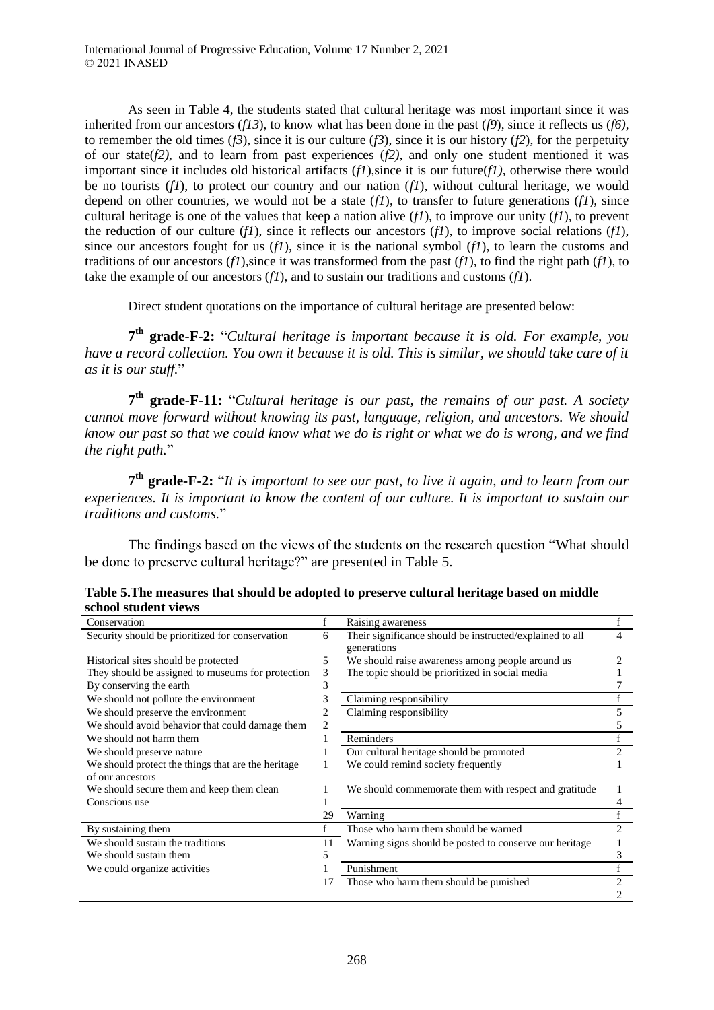As seen in Table 4, the students stated that cultural heritage was most important since it was inherited from our ancestors ( $f13$ ), to know what has been done in the past ( $f9$ ), since it reflects us ( $f6$ ), to remember the old times  $(f3)$ , since it is our culture  $(f3)$ , since it is our history  $(f2)$ , for the perpetuity of our state(*f2)*, and to learn from past experiences (*f2)*, and only one student mentioned it was important since it includes old historical artifacts  $(f1)$ , since it is our future $(f1)$ , otherwise there would be no tourists (*f1*), to protect our country and our nation (*f1*), without cultural heritage, we would depend on other countries, we would not be a state (*f1*), to transfer to future generations (*f1*), since cultural heritage is one of the values that keep a nation alive (*f1*), to improve our unity (*f1*), to prevent the reduction of our culture  $(f1)$ , since it reflects our ancestors  $(f1)$ , to improve social relations  $(f1)$ , since our ancestors fought for us  $(f1)$ , since it is the national symbol  $(f1)$ , to learn the customs and traditions of our ancestors  $(f1)$ , since it was transformed from the past  $(f1)$ , to find the right path  $(f1)$ , to take the example of our ancestors (*f1*), and to sustain our traditions and customs (*f1*).

Direct student quotations on the importance of cultural heritage are presented below:

**7 th grade-F-2:** "*Cultural heritage is important because it is old. For example, you have a record collection. You own it because it is old. This is similar, we should take care of it as it is our stuff.*"

**7 th grade-F-11:** "*Cultural heritage is our past, the remains of our past. A society cannot move forward without knowing its past, language, religion, and ancestors. We should know our past so that we could know what we do is right or what we do is wrong, and we find the right path.*"

**7 th grade-F-2:** "*It is important to see our past, to live it again, and to learn from our experiences. It is important to know the content of our culture. It is important to sustain our traditions and customs.*"

The findings based on the views of the students on the research question "What should be done to preserve cultural heritage?" are presented in Table 5.

| Conservation                                       |    | Raising awareness                                                       |                |
|----------------------------------------------------|----|-------------------------------------------------------------------------|----------------|
| Security should be prioritized for conservation    | 6  | Their significance should be instructed/explained to all<br>generations | 4              |
| Historical sites should be protected               | 5  | We should raise awareness among people around us                        |                |
| They should be assigned to museums for protection  | 3  | The topic should be prioritized in social media                         |                |
| By conserving the earth                            | 3  |                                                                         |                |
| We should not pollute the environment              | 3  | Claiming responsibility                                                 |                |
| We should preserve the environment                 |    | Claiming responsibility                                                 | 5              |
| We should avoid behavior that could damage them    |    |                                                                         |                |
| We should not harm them                            |    | Reminders                                                               |                |
| We should preserve nature                          |    | Our cultural heritage should be promoted                                | 2              |
| We should protect the things that are the heritage |    | We could remind society frequently                                      |                |
| of our ancestors                                   |    |                                                                         |                |
| We should secure them and keep them clean          |    | We should commemorate them with respect and gratitude                   |                |
| Conscious use                                      |    |                                                                         | 4              |
|                                                    | 29 | Warning                                                                 |                |
| By sustaining them                                 | f  | Those who harm them should be warned                                    | $\mathfrak{D}$ |
| We should sustain the traditions                   | 11 | Warning signs should be posted to conserve our heritage                 |                |
| We should sustain them                             |    |                                                                         | 3              |
| We could organize activities                       |    | Punishment                                                              |                |
|                                                    | 17 | Those who harm them should be punished                                  | 2              |
|                                                    |    |                                                                         |                |

**Table 5.The measures that should be adopted to preserve cultural heritage based on middle school student views**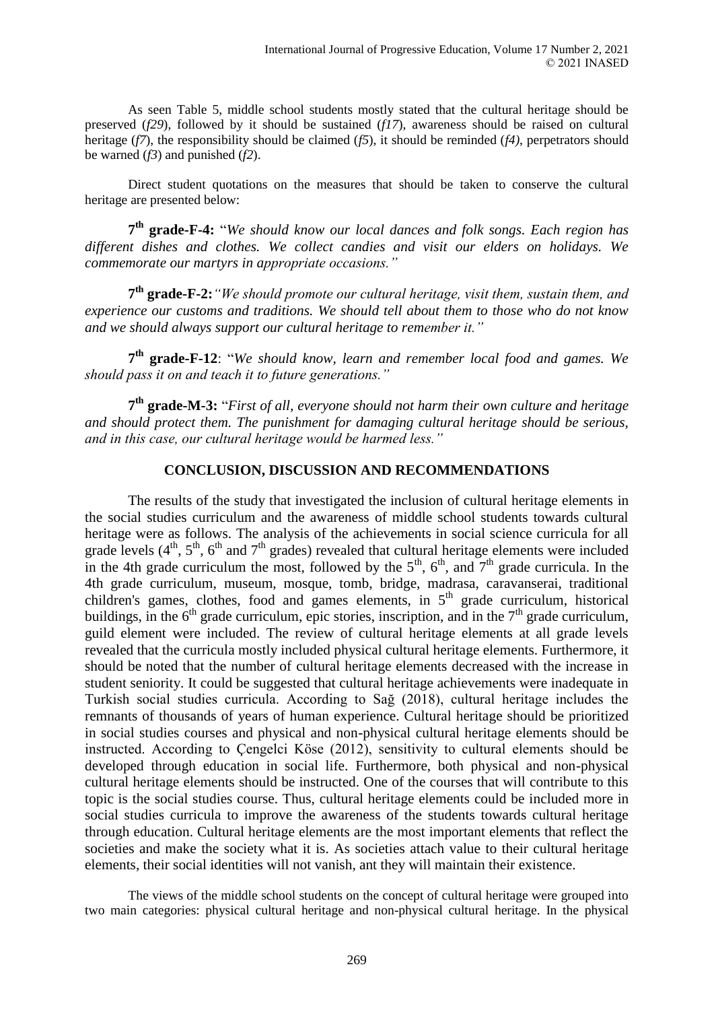As seen Table 5, middle school students mostly stated that the cultural heritage should be preserved (*f29*), followed by it should be sustained (*f17*), awareness should be raised on cultural heritage (*f7*), the responsibility should be claimed (*f5*), it should be reminded (*f4)*, perpetrators should be warned (*f3*) and punished (*f2*).

Direct student quotations on the measures that should be taken to conserve the cultural heritage are presented below:

**7 th grade-F-4:** "*We should know our local dances and folk songs. Each region has different dishes and clothes. We collect candies and visit our elders on holidays. We commemorate our martyrs in appropriate occasions."*

**7 th grade-F-2:***"We should promote our cultural heritage, visit them, sustain them, and experience our customs and traditions. We should tell about them to those who do not know and we should always support our cultural heritage to remember it."*

**7 th grade-F-12**: "*We should know, learn and remember local food and games. We should pass it on and teach it to future generations."*

**7 th grade-M-3:** "*First of all, everyone should not harm their own culture and heritage and should protect them. The punishment for damaging cultural heritage should be serious, and in this case, our cultural heritage would be harmed less."*

### **CONCLUSION, DISCUSSION AND RECOMMENDATIONS**

The results of the study that investigated the inclusion of cultural heritage elements in the social studies curriculum and the awareness of middle school students towards cultural heritage were as follows. The analysis of the achievements in social science curricula for all grade levels  $(4<sup>th</sup>, 5<sup>th</sup>, 6<sup>th</sup>$  and  $7<sup>th</sup>$  grades) revealed that cultural heritage elements were included in the 4th grade curriculum the most, followed by the  $5<sup>th</sup>$ ,  $6<sup>th</sup>$ , and  $7<sup>th</sup>$  grade curricula. In the 4th grade curriculum, museum, mosque, tomb, bridge, madrasa, caravanserai, traditional children's games, clothes, food and games elements, in  $5<sup>th</sup>$  grade curriculum, historical buildings, in the  $6<sup>th</sup>$  grade curriculum, epic stories, inscription, and in the  $7<sup>th</sup>$  grade curriculum, guild element were included. The review of cultural heritage elements at all grade levels revealed that the curricula mostly included physical cultural heritage elements. Furthermore, it should be noted that the number of cultural heritage elements decreased with the increase in student seniority. It could be suggested that cultural heritage achievements were inadequate in Turkish social studies curricula. According to Sağ (2018), cultural heritage includes the remnants of thousands of years of human experience. Cultural heritage should be prioritized in social studies courses and physical and non-physical cultural heritage elements should be instructed. According to Çengelci Köse (2012), sensitivity to cultural elements should be developed through education in social life. Furthermore, both physical and non-physical cultural heritage elements should be instructed. One of the courses that will contribute to this topic is the social studies course. Thus, cultural heritage elements could be included more in social studies curricula to improve the awareness of the students towards cultural heritage through education. Cultural heritage elements are the most important elements that reflect the societies and make the society what it is. As societies attach value to their cultural heritage elements, their social identities will not vanish, ant they will maintain their existence.

The views of the middle school students on the concept of cultural heritage were grouped into two main categories: physical cultural heritage and non-physical cultural heritage. In the physical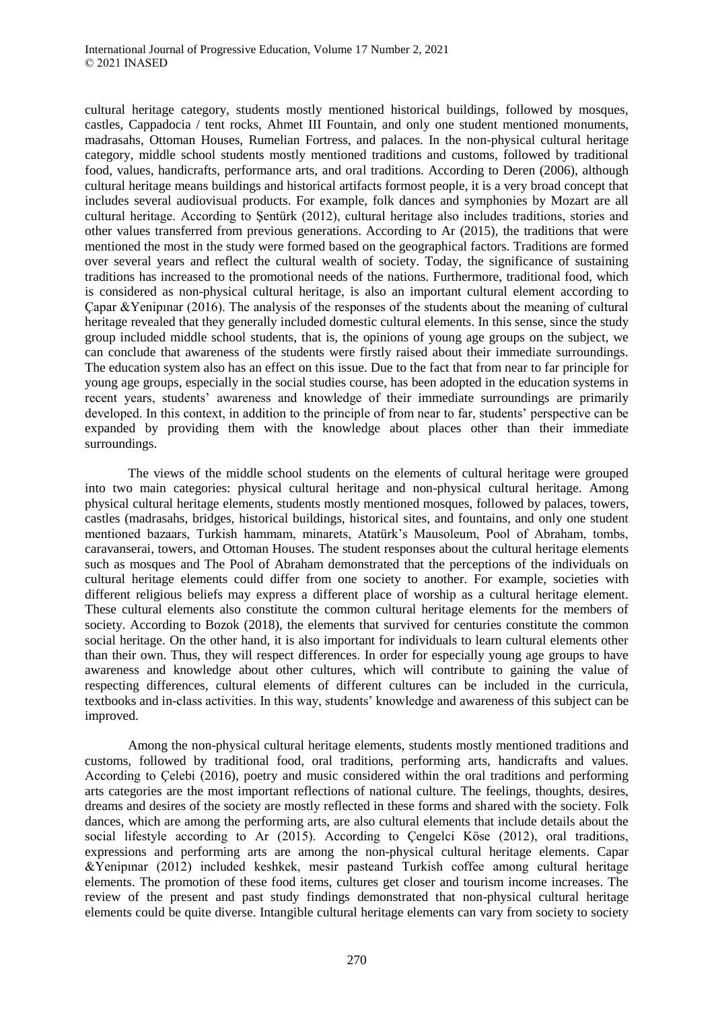cultural heritage category, students mostly mentioned historical buildings, followed by mosques, castles, Cappadocia / tent rocks, Ahmet III Fountain, and only one student mentioned monuments, madrasahs, Ottoman Houses, Rumelian Fortress, and palaces. In the non-physical cultural heritage category, middle school students mostly mentioned traditions and customs, followed by traditional food, values, handicrafts, performance arts, and oral traditions. According to Deren (2006), although cultural heritage means buildings and historical artifacts formost people, it is a very broad concept that includes several audiovisual products. For example, folk dances and symphonies by Mozart are all cultural heritage. According to Şentürk (2012), cultural heritage also includes traditions, stories and other values transferred from previous generations. According to Ar (2015), the traditions that were mentioned the most in the study were formed based on the geographical factors. Traditions are formed over several years and reflect the cultural wealth of society. Today, the significance of sustaining traditions has increased to the promotional needs of the nations. Furthermore, traditional food, which is considered as non-physical cultural heritage, is also an important cultural element according to Çapar &Yenipınar (2016). The analysis of the responses of the students about the meaning of cultural heritage revealed that they generally included domestic cultural elements. In this sense, since the study group included middle school students, that is, the opinions of young age groups on the subject, we can conclude that awareness of the students were firstly raised about their immediate surroundings. The education system also has an effect on this issue. Due to the fact that from near to far principle for young age groups, especially in the social studies course, has been adopted in the education systems in recent years, students' awareness and knowledge of their immediate surroundings are primarily developed. In this context, in addition to the principle of from near to far, students' perspective can be expanded by providing them with the knowledge about places other than their immediate surroundings.

The views of the middle school students on the elements of cultural heritage were grouped into two main categories: physical cultural heritage and non-physical cultural heritage. Among physical cultural heritage elements, students mostly mentioned mosques, followed by palaces, towers, castles (madrasahs, bridges, historical buildings, historical sites, and fountains, and only one student mentioned bazaars, Turkish hammam, minarets, Atatürk's Mausoleum, Pool of Abraham, tombs, caravanserai, towers, and Ottoman Houses. The student responses about the cultural heritage elements such as mosques and The Pool of Abraham demonstrated that the perceptions of the individuals on cultural heritage elements could differ from one society to another. For example, societies with different religious beliefs may express a different place of worship as a cultural heritage element. These cultural elements also constitute the common cultural heritage elements for the members of society. According to Bozok (2018), the elements that survived for centuries constitute the common social heritage. On the other hand, it is also important for individuals to learn cultural elements other than their own. Thus, they will respect differences. In order for especially young age groups to have awareness and knowledge about other cultures, which will contribute to gaining the value of respecting differences, cultural elements of different cultures can be included in the curricula, textbooks and in-class activities. In this way, students' knowledge and awareness of this subject can be improved.

Among the non-physical cultural heritage elements, students mostly mentioned traditions and customs, followed by traditional food, oral traditions, performing arts, handicrafts and values. According to Çelebi (2016), poetry and music considered within the oral traditions and performing arts categories are the most important reflections of national culture. The feelings, thoughts, desires, dreams and desires of the society are mostly reflected in these forms and shared with the society. Folk dances, which are among the performing arts, are also cultural elements that include details about the social lifestyle according to Ar (2015). According to Çengelci Köse (2012), oral traditions, expressions and performing arts are among the non-physical cultural heritage elements. Capar &Yenipınar (2012) included keshkek, mesir pasteand Turkish coffee among cultural heritage elements. The promotion of these food items, cultures get closer and tourism income increases. The review of the present and past study findings demonstrated that non-physical cultural heritage elements could be quite diverse. Intangible cultural heritage elements can vary from society to society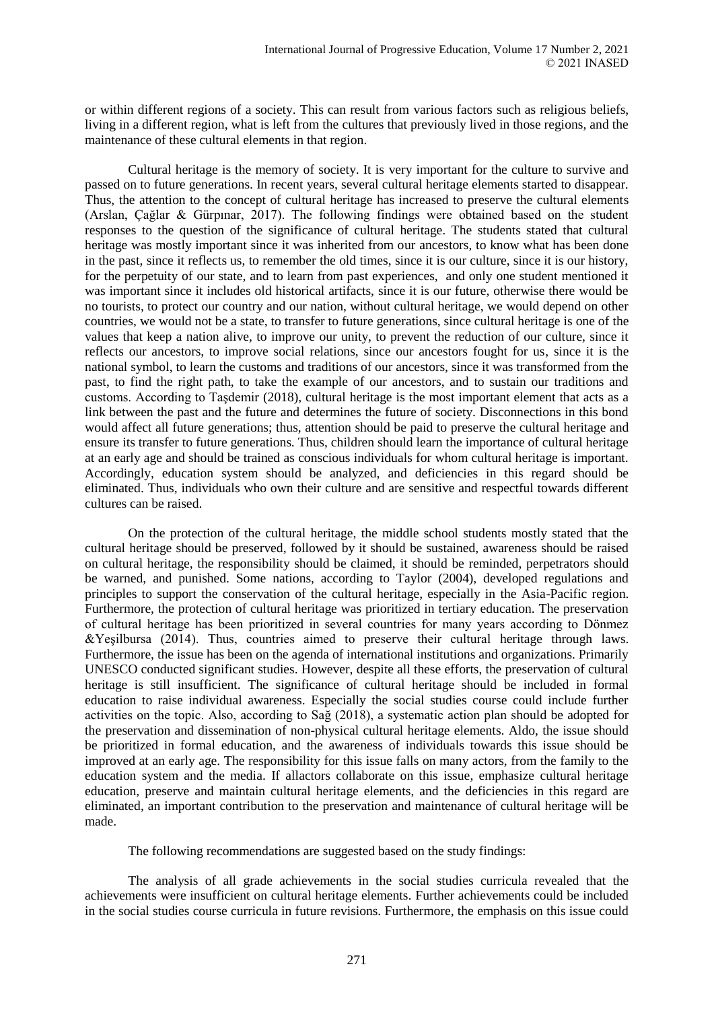or within different regions of a society. This can result from various factors such as religious beliefs, living in a different region, what is left from the cultures that previously lived in those regions, and the maintenance of these cultural elements in that region.

Cultural heritage is the memory of society. It is very important for the culture to survive and passed on to future generations. In recent years, several cultural heritage elements started to disappear. Thus, the attention to the concept of cultural heritage has increased to preserve the cultural elements (Arslan, Çağlar & Gürpınar, 2017). The following findings were obtained based on the student responses to the question of the significance of cultural heritage. The students stated that cultural heritage was mostly important since it was inherited from our ancestors, to know what has been done in the past, since it reflects us, to remember the old times, since it is our culture, since it is our history, for the perpetuity of our state, and to learn from past experiences, and only one student mentioned it was important since it includes old historical artifacts, since it is our future, otherwise there would be no tourists, to protect our country and our nation, without cultural heritage, we would depend on other countries, we would not be a state, to transfer to future generations, since cultural heritage is one of the values that keep a nation alive, to improve our unity, to prevent the reduction of our culture, since it reflects our ancestors, to improve social relations, since our ancestors fought for us, since it is the national symbol, to learn the customs and traditions of our ancestors, since it was transformed from the past, to find the right path, to take the example of our ancestors, and to sustain our traditions and customs. According to Taşdemir (2018), cultural heritage is the most important element that acts as a link between the past and the future and determines the future of society. Disconnections in this bond would affect all future generations; thus, attention should be paid to preserve the cultural heritage and ensure its transfer to future generations. Thus, children should learn the importance of cultural heritage at an early age and should be trained as conscious individuals for whom cultural heritage is important. Accordingly, education system should be analyzed, and deficiencies in this regard should be eliminated. Thus, individuals who own their culture and are sensitive and respectful towards different cultures can be raised.

On the protection of the cultural heritage, the middle school students mostly stated that the cultural heritage should be preserved, followed by it should be sustained, awareness should be raised on cultural heritage, the responsibility should be claimed, it should be reminded, perpetrators should be warned, and punished. Some nations, according to Taylor (2004), developed regulations and principles to support the conservation of the cultural heritage, especially in the Asia-Pacific region. Furthermore, the protection of cultural heritage was prioritized in tertiary education. The preservation of cultural heritage has been prioritized in several countries for many years according to Dönmez &Yeşilbursa (2014). Thus, countries aimed to preserve their cultural heritage through laws. Furthermore, the issue has been on the agenda of international institutions and organizations. Primarily UNESCO conducted significant studies. However, despite all these efforts, the preservation of cultural heritage is still insufficient. The significance of cultural heritage should be included in formal education to raise individual awareness. Especially the social studies course could include further activities on the topic. Also, according to Sağ (2018), a systematic action plan should be adopted for the preservation and dissemination of non-physical cultural heritage elements. Aldo, the issue should be prioritized in formal education, and the awareness of individuals towards this issue should be improved at an early age. The responsibility for this issue falls on many actors, from the family to the education system and the media. If allactors collaborate on this issue, emphasize cultural heritage education, preserve and maintain cultural heritage elements, and the deficiencies in this regard are eliminated, an important contribution to the preservation and maintenance of cultural heritage will be made.

The following recommendations are suggested based on the study findings:

The analysis of all grade achievements in the social studies curricula revealed that the achievements were insufficient on cultural heritage elements. Further achievements could be included in the social studies course curricula in future revisions. Furthermore, the emphasis on this issue could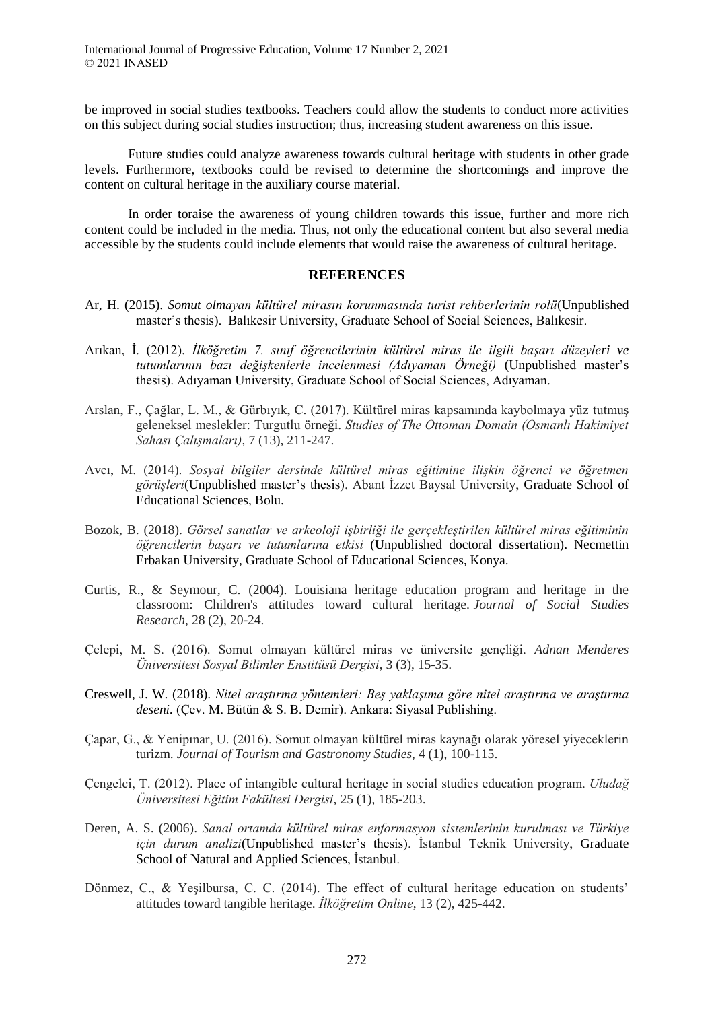be improved in social studies textbooks. Teachers could allow the students to conduct more activities on this subject during social studies instruction; thus, increasing student awareness on this issue.

Future studies could analyze awareness towards cultural heritage with students in other grade levels. Furthermore, textbooks could be revised to determine the shortcomings and improve the content on cultural heritage in the auxiliary course material.

In order toraise the awareness of young children towards this issue, further and more rich content could be included in the media. Thus, not only the educational content but also several media accessible by the students could include elements that would raise the awareness of cultural heritage.

#### **REFERENCES**

- Ar, H. (2015). *Somut olmayan kültürel mirasın korunmasında turist rehberlerinin rolü*(Unpublished master's thesis). Balıkesir University, Graduate School of Social Sciences, Balıkesir.
- Arıkan, İ. (2012). *İlköğretim 7. sınıf öğrencilerinin kültürel miras ile ilgili başarı düzeyleri ve tutumlarının bazı değişkenlerle incelenmesi (Adıyaman Örneği)* (Unpublished master's thesis). Adıyaman University, Graduate School of Social Sciences, Adıyaman.
- Arslan, F., Çağlar, L. M., & Gürbıyık, C. (2017). Kültürel miras kapsamında kaybolmaya yüz tutmuş geleneksel meslekler: Turgutlu örneği. *Studies of The Ottoman Domain (Osmanlı Hakimiyet Sahası Çalışmaları)*, 7 (13), 211-247.
- Avcı, M. (2014). *Sosyal bilgiler dersinde kültürel miras eğitimine ilişkin öğrenci ve öğretmen görüşleri*(Unpublished master's thesis). Abant İzzet Baysal University, Graduate School of Educational Sciences, Bolu.
- Bozok, B. (2018). *Görsel sanatlar ve arkeoloji işbirliği ile gerçekleştirilen kültürel miras eğitiminin öğrencilerin başarı ve tutumlarına etkisi* (Unpublished doctoral dissertation). Necmettin Erbakan University, Graduate School of Educational Sciences, Konya.
- Curtis, R., & Seymour, C. (2004). Louisiana heritage education program and heritage in the classroom: Children's attitudes toward cultural heritage. *Journal of Social Studies Research*, 28 (2), 20-24.
- Çelepi, M. S. (2016). Somut olmayan kültürel miras ve üniversite gençliği. *Adnan Menderes Üniversitesi Sosyal Bilimler Enstitüsü Dergisi*, 3 (3), 15-35.
- Creswell, J. W. (2018). *Nitel araştırma yöntemleri: Beş yaklaşıma göre nitel araştırma ve araştırma deseni.* (Çev. M. Bütün & S. B. Demir). Ankara: Siyasal Publishing.
- Çapar, G., & Yenipınar, U. (2016). Somut olmayan kültürel miras kaynağı olarak yöresel yiyeceklerin turizm. *Journal of Tourism and Gastronomy Studies*, 4 (1), 100-115.
- Çengelci, T. (2012). Place of intangible cultural heritage in social studies education program. *Uludağ Üniversitesi Eğitim Fakültesi Dergisi*, 25 (1), 185-203.
- Deren, A. S. (2006). *Sanal ortamda kültürel miras enformasyon sistemlerinin kurulması ve Türkiye için durum analizi*(Unpublished master's thesis). İstanbul Teknik University, Graduate School of Natural and Applied Sciences, İstanbul.
- Dönmez, C., & Yeşilbursa, C. C. (2014). The effect of cultural heritage education on students' attitudes toward tangible heritage. *İlköğretim Online*, 13 (2), 425-442.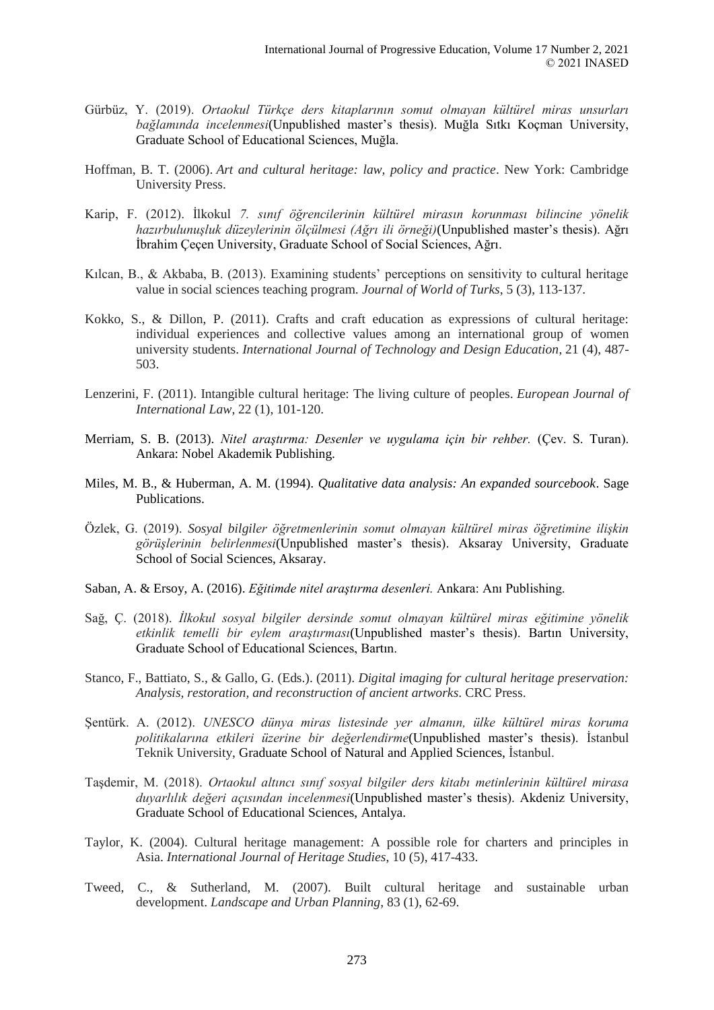- Gürbüz, Y. (2019). *Ortaokul Türkçe ders kitaplarının somut olmayan kültürel miras unsurları bağlamında incelenmesi*(Unpublished master's thesis). Muğla Sıtkı Koçman University, Graduate School of Educational Sciences, Muğla.
- Hoffman, B. T. (2006). *Art and cultural heritage: law, policy and practice*. New York: Cambridge University Press.
- Karip, F. (2012). İlkokul *7. sınıf öğrencilerinin kültürel mirasın korunması bilincine yönelik hazırbulunuşluk düzeylerinin ölçülmesi (Ağrı ili örneği)*(Unpublished master's thesis). Ağrı İbrahim Çeçen University, Graduate School of Social Sciences, Ağrı.
- Kılcan, B., & Akbaba, B. (2013). Examining students' perceptions on sensitivity to cultural heritage value in social sciences teaching program. *Journal of World of Turks*, 5 (3), 113-137.
- Kokko, S., & Dillon, P. (2011). Crafts and craft education as expressions of cultural heritage: individual experiences and collective values among an international group of women university students. *International Journal of Technology and Design Education*, 21 (4), 487- 503.
- Lenzerini, F. (2011). Intangible cultural heritage: The living culture of peoples. *European Journal of International Law*, 22 (1), 101-120.
- Merriam, S. B. (2013). *Nitel araştırma: Desenler ve uygulama için bir rehber*. (Çev. S. Turan). Ankara: Nobel Akademik Publishing.
- Miles, M. B., & Huberman, A. M. (1994). *Qualitative data analysis: An expanded sourcebook*. Sage Publications.
- Özlek, G. (2019). *Sosyal bilgiler öğretmenlerinin somut olmayan kültürel miras öğretimine ilişkin görüşlerinin belirlenmesi*(Unpublished master's thesis). Aksaray University, Graduate School of Social Sciences, Aksaray.
- Saban, A. & Ersoy, A. (2016). *Eğitimde nitel araştırma desenleri.* Ankara: Anı Publishing.
- Sağ, Ç. (2018). *İlkokul sosyal bilgiler dersinde somut olmayan kültürel miras eğitimine yönelik etkinlik temelli bir eylem araştırması*(Unpublished master's thesis). Bartın University, Graduate School of Educational Sciences, Bartın.
- Stanco, F., Battiato, S., & Gallo, G. (Eds.). (2011). *Digital imaging for cultural heritage preservation: Analysis, restoration, and reconstruction of ancient artworks*. CRC Press.
- Şentürk. A. (2012). *UNESCO dünya miras listesinde yer almanın, ülke kültürel miras koruma politikalarına etkileri üzerine bir değerlendirme*(Unpublished master's thesis). İstanbul Teknik University, Graduate School of Natural and Applied Sciences, İstanbul.
- Taşdemir, M. (2018). *Ortaokul altıncı sınıf sosyal bilgiler ders kitabı metinlerinin kültürel mirasa duyarlılık değeri açısından incelenmesi*(Unpublished master's thesis). Akdeniz University, Graduate School of Educational Sciences, Antalya.
- Taylor, K. (2004). Cultural heritage management: A possible role for charters and principles in Asia. *International Journal of Heritage Studies*, 10 (5), 417-433.
- Tweed, C., & Sutherland, M. (2007). Built cultural heritage and sustainable urban development. *Landscape and Urban Planning*, 83 (1), 62-69.